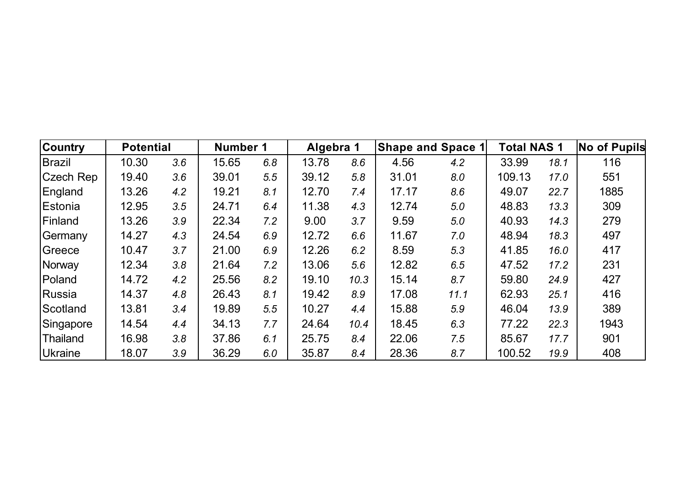| <b>Country</b>  | <b>Potential</b> |     | Number 1 |     | Algebra 1 |      | <b>Shape and Space 1</b> |      | <b>Total NAS 1</b> |      | <b>No of Pupils</b> |
|-----------------|------------------|-----|----------|-----|-----------|------|--------------------------|------|--------------------|------|---------------------|
| Brazil          | 10.30            | 3.6 | 15.65    | 6.8 | 13.78     | 8.6  | 4.56                     | 4.2  | 33.99              | 18.1 | 116                 |
| Czech Rep       | 19.40            | 3.6 | 39.01    | 5.5 | 39.12     | 5.8  | 31.01                    | 8.0  | 109.13             | 17.0 | 551                 |
| England         | 13.26            | 4.2 | 19.21    | 8.1 | 12.70     | 7.4  | 17.17                    | 8.6  | 49.07              | 22.7 | 1885                |
| Estonia         | 12.95            | 3.5 | 24.71    | 6.4 | 11.38     | 4.3  | 12.74                    | 5.0  | 48.83              | 13.3 | 309                 |
| <b>IFinland</b> | 13.26            | 3.9 | 22.34    | 7.2 | 9.00      | 3.7  | 9.59                     | 5.0  | 40.93              | 14.3 | 279                 |
| Germany         | 14.27            | 4.3 | 24.54    | 6.9 | 12.72     | 6.6  | 11.67                    | 7.0  | 48.94              | 18.3 | 497                 |
| Greece          | 10.47            | 3.7 | 21.00    | 6.9 | 12.26     | 6.2  | 8.59                     | 5.3  | 41.85              | 16.0 | 417                 |
| Norway          | 12.34            | 3.8 | 21.64    | 7.2 | 13.06     | 5.6  | 12.82                    | 6.5  | 47.52              | 17.2 | 231                 |
| Poland          | 14.72            | 4.2 | 25.56    | 8.2 | 19.10     | 10.3 | 15.14                    | 8.7  | 59.80              | 24.9 | 427                 |
| Russia          | 14.37            | 4.8 | 26.43    | 8.1 | 19.42     | 8.9  | 17.08                    | 11.1 | 62.93              | 25.1 | 416                 |
| Scotland        | 13.81            | 3.4 | 19.89    | 5.5 | 10.27     | 4.4  | 15.88                    | 5.9  | 46.04              | 13.9 | 389                 |
| Singapore       | 14.54            | 4.4 | 34.13    | 7.7 | 24.64     | 10.4 | 18.45                    | 6.3  | 77.22              | 22.3 | 1943                |
| Thailand        | 16.98            | 3.8 | 37.86    | 6.1 | 25.75     | 8.4  | 22.06                    | 7.5  | 85.67              | 17.7 | 901                 |
| <b>Ukraine</b>  | 18.07            | 3.9 | 36.29    | 6.0 | 35.87     | 8.4  | 28.36                    | 8.7  | 100.52             | 19.9 | 408                 |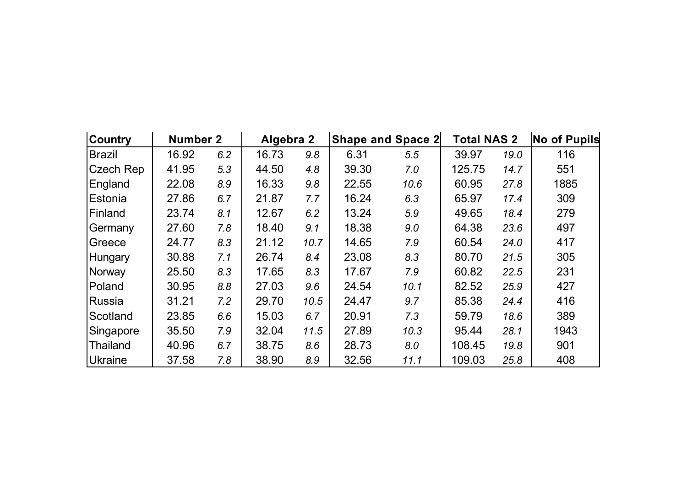| <b>Country</b> | Number 2 |     | Algebra 2 |      |       | <b>Shape and Space 2</b> | <b>Total NAS 2</b> |      | <b>No of Pupils</b> |
|----------------|----------|-----|-----------|------|-------|--------------------------|--------------------|------|---------------------|
| Brazil         | 16.92    | 6.2 | 16.73     | 9.8  | 6.31  | 5.5                      | 39.97              | 19.0 | 116                 |
| Czech Rep      | 41.95    | 5.3 | 44.50     | 4.8  | 39.30 | 7.0                      | 125.75             | 14.7 | 551                 |
| England        | 22.08    | 8.9 | 16.33     | 9.8  | 22.55 | 10.6                     | 60.95              | 27.8 | 1885                |
| Estonia        | 27.86    | 6.7 | 21.87     | 7.7  | 16.24 | 6.3                      | 65.97              | 17.4 | 309                 |
| Finland        | 23.74    | 8.1 | 12.67     | 6.2  | 13.24 | 5.9                      | 49.65              | 18.4 | 279                 |
| Germany        | 27.60    | 7.8 | 18.40     | 9.1  | 18.38 | 9.0                      | 64.38              | 23.6 | 497                 |
| Greece         | 24.77    | 8.3 | 21.12     | 10.7 | 14.65 | 7.9                      | 60.54              | 24.0 | 417                 |
| Hungary        | 30.88    | 7.1 | 26.74     | 8.4  | 23.08 | 8.3                      | 80.70              | 21.5 | 305                 |
| Norway         | 25.50    | 8.3 | 17.65     | 8.3  | 17.67 | 7.9                      | 60.82              | 22.5 | 231                 |
| Poland         | 30.95    | 8.8 | 27.03     | 9.6  | 24.54 | 10.1                     | 82.52              | 25.9 | 427                 |
| Russia         | 31.21    | 7.2 | 29.70     | 10.5 | 24.47 | 9.7                      | 85.38              | 24.4 | 416                 |
| Scotland       | 23.85    | 6.6 | 15.03     | 6.7  | 20.91 | 7.3                      | 59.79              | 18.6 | 389                 |
| Singapore      | 35.50    | 7.9 | 32.04     | 11.5 | 27.89 | 10.3                     | 95.44              | 28.1 | 1943                |
| Thailand       | 40.96    | 6.7 | 38.75     | 8.6  | 28.73 | 8.0                      | 108.45             | 19.8 | 901                 |
| Ukraine        | 37.58    | 7.8 | 38.90     | 8.9  | 32.56 | 11.1                     | 109.03             | 25.8 | 408                 |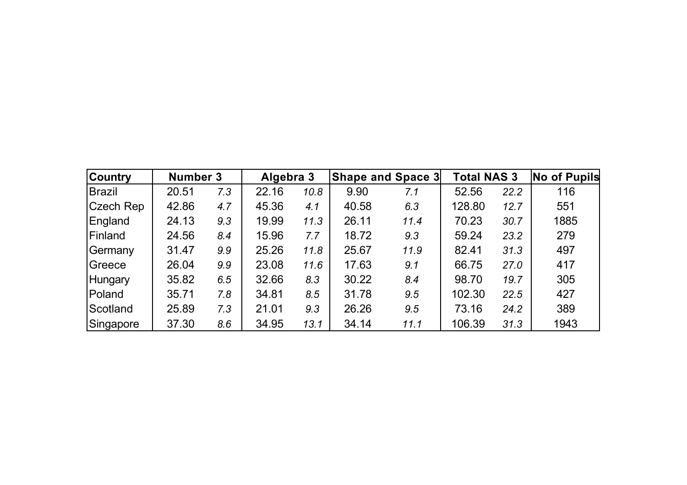| <b>Country</b> | Number 3 |     | Algebra 3 |      |       | <b>Shape and Space 3</b> | <b>Total NAS 3</b> |      | <b>No of Pupils</b> |
|----------------|----------|-----|-----------|------|-------|--------------------------|--------------------|------|---------------------|
| <b>Brazil</b>  | 20.51    | 7.3 | 22.16     | 10.8 | 9.90  | 7.1                      | 52.56              | 22.2 | 116                 |
| Czech Rep      | 42.86    | 4.7 | 45.36     | 4.1  | 40.58 | 6.3                      | 128.80             | 12.7 | 551                 |
| England        | 24.13    | 9.3 | 19.99     | 11.3 | 26.11 | 11.4                     | 70.23              | 30.7 | 1885                |
| Finland        | 24.56    | 8.4 | 15.96     | 7.7  | 18.72 | 9.3                      | 59.24              | 23.2 | 279                 |
| Germany        | 31.47    | 9.9 | 25.26     | 11.8 | 25.67 | 11.9                     | 82.41              | 31.3 | 497                 |
| Greece         | 26.04    | 9.9 | 23.08     | 11.6 | 17.63 | 9.1                      | 66.75              | 27.0 | 417                 |
| Hungary        | 35.82    | 6.5 | 32.66     | 8.3  | 30.22 | 8.4                      | 98.70              | 19.7 | 305                 |
| Poland         | 35.71    | 7.8 | 34.81     | 8.5  | 31.78 | 9.5                      | 102.30             | 22.5 | 427                 |
| Scotland       | 25.89    | 7.3 | 21.01     | 9.3  | 26.26 | 9.5                      | 73.16              | 24.2 | 389                 |
| Singapore      | 37.30    | 8.6 | 34.95     | 13.1 | 34.14 | 11.1                     | 106.39             | 31.3 | 1943                |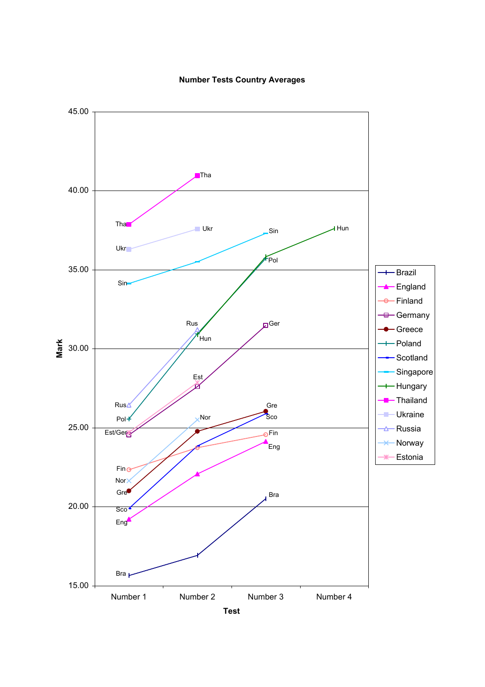## **Number Tests Country Averages**

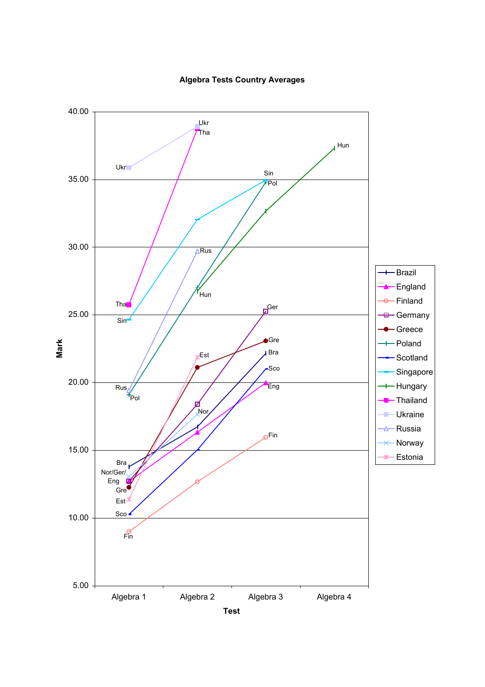

## **Algebra Tests Country Averages**

**Test**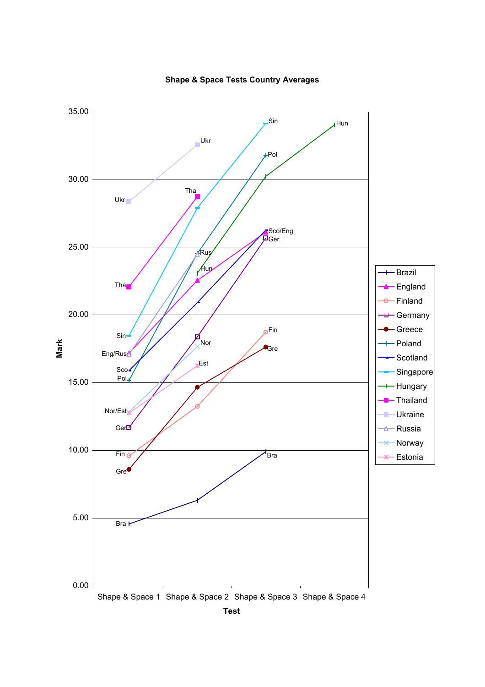

**Shape & Space Tests Country Averages**